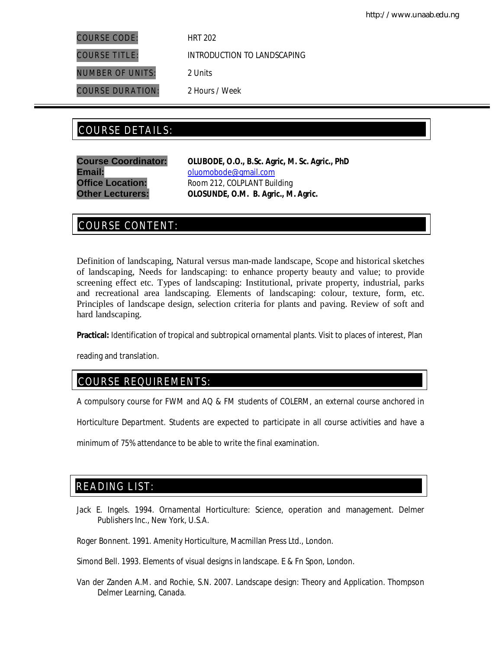COURSE CODE: HRT 202

NUMBER OF UNITS: 2 Units

COURSE DURATION: 2 Hours / Week

COURSE TITLE: INTRODUCTION TO LANDSCAPING

# COURSE DETAILS: COURSE DETAILS:

Email: **Email:** oluomobode@gmail.com

**Course Coordinator: OLUBODE, O.O., B.Sc. Agric, M. Sc. Agric., PhD Office Location:** Room 212, COLPLANT Building **Other Lecturers: OLOSUNDE, O.M. B. Agric., M. Agric.**

# COURSE CONTENT:

Definition of landscaping, Natural versus man-made landscape, Scope and historical sketches of landscaping, Needs for landscaping: to enhance property beauty and value; to provide screening effect etc. Types of landscaping: Institutional, private property, industrial, parks and recreational area landscaping. Elements of landscaping: colour, texture, form, etc. Principles of landscape design, selection criteria for plants and paving. Review of soft and hard landscaping.

**Practical:** Identification of tropical and subtropical ornamental plants. Visit to places of interest, Plan

reading and translation.

# COURSE REQUIREMENTS:

A compulsory course for FWM and AQ & FM students of COLERM, an external course anchored in

Horticulture Department. Students are expected to participate in all course activities and have a

minimum of 75% attendance to be able to write the final examination.

# READING LIST:

Jack E. Ingels. 1994. Ornamental Horticulture: Science, operation and management. Delmer Publishers Inc., New York, U.S.A.

Roger Bonnent. 1991. Amenity Horticulture, Macmillan Press Ltd., London.

Simond Bell. 1993. Elements of visual designs in landscape. E & Fn Spon, London.

Van der Zanden A.M. and Rochie, S.N. 2007. Landscape design: Theory and Application. Thompson Delmer Learning, Canada.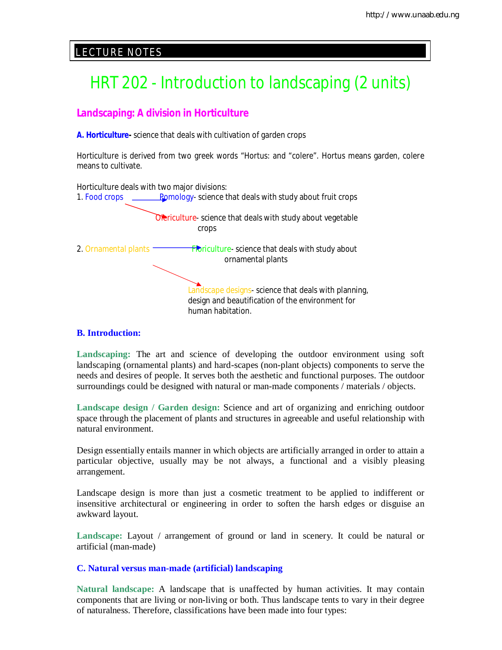# E LECTURE NOTES

# HRT 202 - Introduction to landscaping (2 units)

# **Landscaping: A division in Horticulture**

**A. Horticulture-** science that deals with cultivation of garden crops

Horticulture is derived from two greek words "Hortus: and "colere". Hortus means garden, colere means to cultivate.



## **B. Introduction:**

**Landscaping:** The art and science of developing the outdoor environment using soft landscaping (ornamental plants) and hard-scapes (non-plant objects) components to serve the needs and desires of people. It serves both the aesthetic and functional purposes. The outdoor surroundings could be designed with natural or man-made components / materials / objects.

**Landscape design / Garden design:** Science and art of organizing and enriching outdoor space through the placement of plants and structures in agreeable and useful relationship with natural environment.

Design essentially entails manner in which objects are artificially arranged in order to attain a particular objective, usually may be not always, a functional and a visibly pleasing arrangement.

Landscape design is more than just a cosmetic treatment to be applied to indifferent or insensitive architectural or engineering in order to soften the harsh edges or disguise an awkward layout.

**Landscape:** Layout / arrangement of ground or land in scenery. It could be natural or artificial (man-made)

## **C. Natural versus man-made (artificial) landscaping**

**Natural landscape:** A landscape that is unaffected by human activities. It may contain components that are living or non-living or both. Thus landscape tents to vary in their degree of naturalness. Therefore, classifications have been made into four types: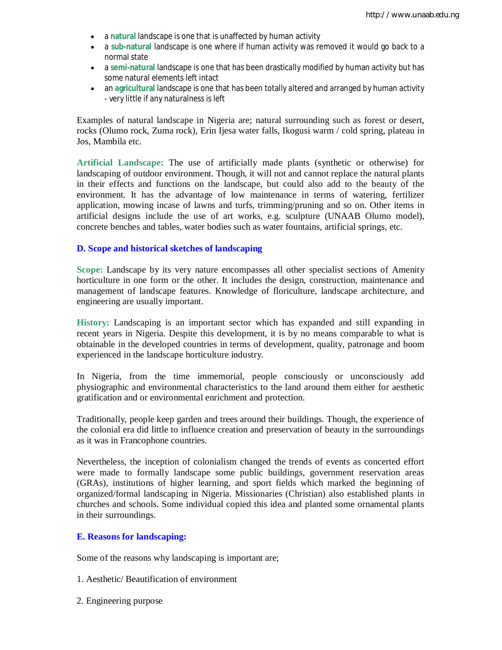- a **natural** landscape is one that is unaffected by human activity
- a **sub-natural** landscape is one where if human activity was removed it would go back to a normal state
- a **semi-natural** landscape is one that has been drastically modified by human activity but has some natural elements left intact
- an **agricultural** landscape is one that has been totally altered and arranged by human activity - very little if any naturalness is left

Examples of natural landscape in Nigeria are; natural surrounding such as forest or desert, rocks (Olumo rock, Zuma rock), Erin Ijesa water falls, Ikogusi warm / cold spring, plateau in Jos, Mambila etc.

**Artificial Landscape:** The use of artificially made plants (synthetic or otherwise) for landscaping of outdoor environment. Though, it will not and cannot replace the natural plants in their effects and functions on the landscape, but could also add to the beauty of the environment. It has the advantage of low maintenance in terms of watering, fertilizer application, mowing incase of lawns and turfs, trimming/pruning and so on. Other items in artificial designs include the use of art works, e.g. sculpture (UNAAB Olumo model), concrete benches and tables, water bodies such as water fountains, artificial springs, etc.

## **D. Scope and historical sketches of landscaping**

**Scope:** Landscape by its very nature encompasses all other specialist sections of Amenity horticulture in one form or the other. It includes the design, construction, maintenance and management of landscape features. Knowledge of floriculture, landscape architecture, and engineering are usually important.

**History:** Landscaping is an important sector which has expanded and still expanding in recent years in Nigeria. Despite this development, it is by no means comparable to what is obtainable in the developed countries in terms of development, quality, patronage and boom experienced in the landscape horticulture industry.

In Nigeria, from the time immemorial, people consciously or unconsciously add physiographic and environmental characteristics to the land around them either for aesthetic gratification and or environmental enrichment and protection.

Traditionally, people keep garden and trees around their buildings. Though, the experience of the colonial era did little to influence creation and preservation of beauty in the surroundings as it was in Francophone countries.

Nevertheless, the inception of colonialism changed the trends of events as concerted effort were made to formally landscape some public buildings, government reservation areas (GRAs), institutions of higher learning, and sport fields which marked the beginning of organized/formal landscaping in Nigeria. Missionaries (Christian) also established plants in churches and schools. Some individual copied this idea and planted some ornamental plants in their surroundings.

# **E. Reasons for landscaping:**

Some of the reasons why landscaping is important are;

- 1. Aesthetic/ Beautification of environment
- 2. Engineering purpose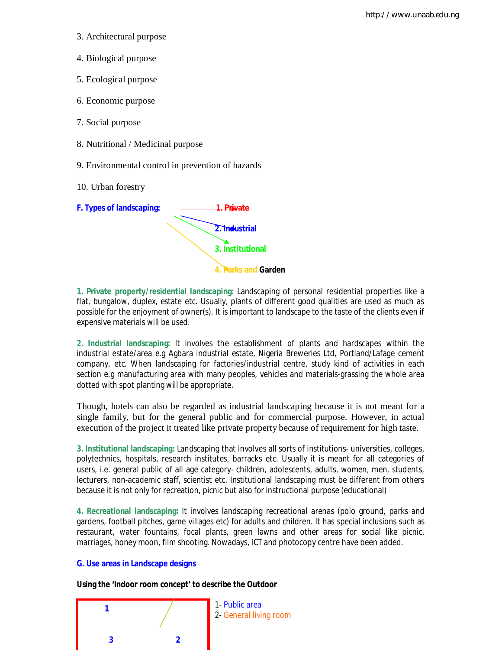- 3. Architectural purpose
- 4. Biological purpose
- 5. Ecological purpose
- 6. Economic purpose
- 7. Social purpose
- 8. Nutritional / Medicinal purpose
- 9. Environmental control in prevention of hazards
- 10. Urban forestry



**1. Private property/residential landscaping:** Landscaping of personal residential properties like a flat, bungalow, duplex, estate etc. Usually, plants of different good qualities are used as much as possible for the enjoyment of owner(s). It is important to landscape to the taste of the clients even if expensive materials will be used.

**2. Industrial landscaping:** It involves the establishment of plants and hardscapes within the industrial estate/area e.g Agbara industrial estate, Nigeria Breweries Ltd, Portland/Lafage cement company, etc. When landscaping for factories/industrial centre, study kind of activities in each section e.g manufacturing area with many peoples, vehicles and materials-grassing the whole area dotted with spot planting will be appropriate.

Though, hotels can also be regarded as industrial landscaping because it is not meant for a single family, but for the general public and for commercial purpose. However, in actual execution of the project it treated like private property because of requirement for high taste.

**3. Institutional landscaping:** Landscaping that involves all sorts of institutions- universities, colleges, polytechnics, hospitals, research institutes, barracks etc. Usually it is meant for all categories of users, i.e. general public of all age category- children, adolescents, adults, women, men, students, lecturers, non-academic staff, scientist etc. Institutional landscaping must be different from others because it is not only for recreation, picnic but also for instructional purpose (educational)

**4. Recreational landscaping:** It involves landscaping recreational arenas (polo ground, parks and gardens, football pitches, game villages etc) for adults and children. It has special inclusions such as restaurant, water fountains, focal plants, green lawns and other areas for social like picnic, marriages, honey moon, film shooting. Nowadays, ICT and photocopy centre have been added.

## **G. Use areas in Landscape designs**

**Using the 'Indoor room concept' to describe the Outdoor**

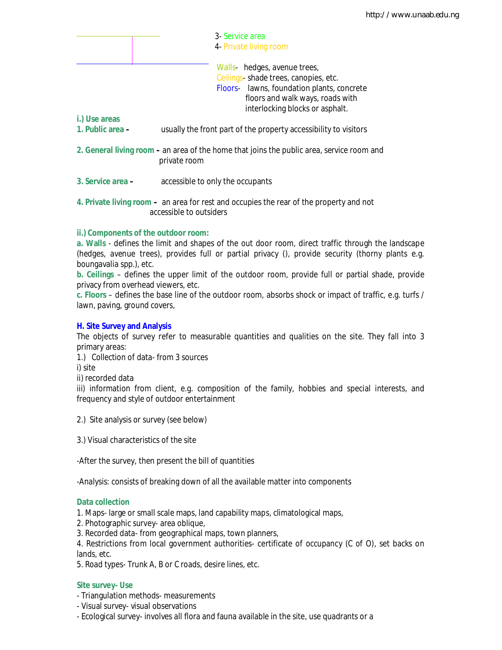|                                   | 3- Service area<br>4- Private living room                                                                                                                                                                                                                     |  |
|-----------------------------------|---------------------------------------------------------------------------------------------------------------------------------------------------------------------------------------------------------------------------------------------------------------|--|
| i.) Use areas<br>1. Public area - | Walls- hedges, avenue trees,<br>Ceilings-shade trees, canopies, etc.<br>Floors- lawns, foundation plants, concrete<br>floors and walk ways, roads with<br>interlocking blocks or asphalt.<br>usually the front part of the property accessibility to visitors |  |
|                                   | 2. General living room – an area of the home that joins the public area, service room and<br>private room                                                                                                                                                     |  |
| 3. Service area -                 | accessible to only the occupants                                                                                                                                                                                                                              |  |
|                                   | 4. Private living room – an area for rest and occupies the rear of the property and not<br>accessible to outsiders                                                                                                                                            |  |

### **ii.) Components of the outdoor room:**

**a. Walls** - defines the limit and shapes of the out door room, direct traffic through the landscape (hedges, avenue trees), provides full or partial privacy (), provide security (thorny plants e.g. boungavalia spp.), etc.

**b. Ceilings** – defines the upper limit of the outdoor room, provide full or partial shade, provide privacy from overhead viewers, etc.

**c. Floors** – defines the base line of the outdoor room, absorbs shock or impact of traffic, e.g. turfs / lawn, paving, ground covers,

#### **H. Site Survey and Analysis**

The objects of survey refer to measurable quantities and qualities on the site. They fall into 3 primary areas:

1.) Collection of data- from 3 sources

i) site

ii) recorded data

iii) information from client, e.g. composition of the family, hobbies and special interests, and frequency and style of outdoor entertainment

- 2.) Site analysis or survey (see below)
- 3.) Visual characteristics of the site

-After the survey, then present the bill of quantities

-Analysis: consists of breaking down of all the available matter into components

#### **Data collection**

1. Maps- large or small scale maps, land capability maps, climatological maps,

- 2. Photographic survey- area oblique,
- 3. Recorded data- from geographical maps, town planners,

4. Restrictions from local government authorities- certificate of occupancy (C of O), set backs on lands, etc.

5. Road types- Trunk A, B or C roads, desire lines, etc.

## **Site survey- Use**

- Triangulation methods- measurements
- Visual survey- visual observations
- Ecological survey- involves all flora and fauna available in the site, use quadrants or a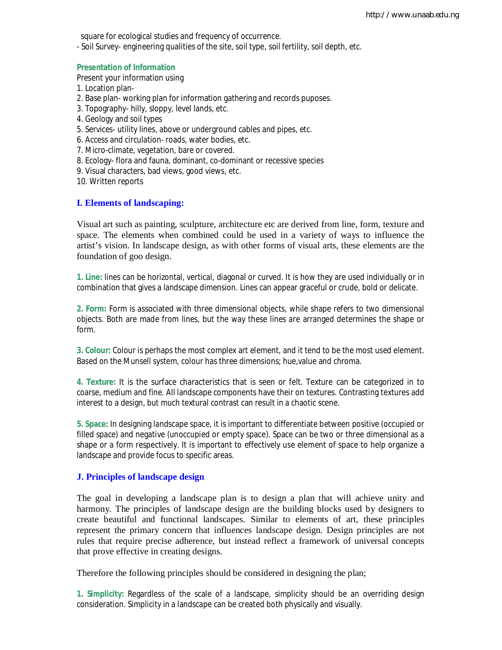square for ecological studies and frequency of occurrence.

- Soil Survey- engineering qualities of the site, soil type, soil fertility, soil depth, etc.

#### **Presentation of Information**

Present your information using

- 1. Location plan-
- 2. Base plan- working plan for information gathering and records puposes.
- 3. Topography- hilly, sloppy, level lands, etc.
- 4. Geology and soil types
- 5. Services- utility lines, above or underground cables and pipes, etc.
- 6. Access and circulation- roads, water bodies, etc.
- 7. Micro-climate, vegetation, bare or covered.
- 8. Ecology- flora and fauna, dominant, co-dominant or recessive species
- 9. Visual characters, bad views, good views, etc.
- 10. Written reports

#### **I. Elements of landscaping:**

Visual art such as painting, sculpture, architecture etc are derived from line, form, texture and space. The elements when combined could be used in a variety of ways to influence the artist's vision. In landscape design, as with other forms of visual arts, these elements are the foundation of goo design.

**1. Line:** lines can be horizontal, vertical, diagonal or curved. It is how they are used individually or in combination that gives a landscape dimension. Lines can appear graceful or crude, bold or delicate.

**2. Form:** Form is associated with three dimensional objects, while shape refers to two dimensional objects. Both are made from lines, but the way these lines are arranged determines the shape or form.

**3. Colour:** Colour is perhaps the most complex art element, and it tend to be the most used element. Based on the Munsell system, colour has three dimensions; hue,value and chroma.

**4. Texture:** It is the surface characteristics that is seen or felt. Texture can be categorized in to coarse, medium and fine. All landscape components have their on textures. Contrasting textures add interest to a design, but much textural contrast can result in a chaotic scene.

**5. Space:** In designing landscape space, it is important to differentiate between positive (occupied or filled space) and negative (unoccupied or empty space). Space can be two or three dimensional as a shape or a form respectively. It is important to effectively use element of space to help organize a landscape and provide focus to specific areas.

#### **J. Principles of landscape design**

The goal in developing a landscape plan is to design a plan that will achieve unity and harmony. The principles of landscape design are the building blocks used by designers to create beautiful and functional landscapes. Similar to elements of art, these principles represent the primary concern that influences landscape design. Design principles are not rules that require precise adherence, but instead reflect a framework of universal concepts that prove effective in creating designs.

Therefore the following principles should be considered in designing the plan;

**1. Simplicity:** Regardless of the scale of a landscape, simplicity should be an overriding design consideration. Simplicity in a landscape can be created both physically and visually.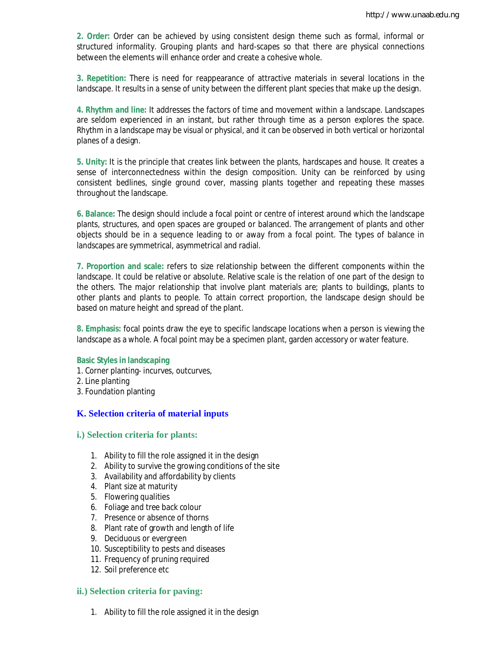**2. Order:** Order can be achieved by using consistent design theme such as formal, informal or structured informality. Grouping plants and hard-scapes so that there are physical connections between the elements will enhance order and create a cohesive whole.

**3. Repetition:** There is need for reappearance of attractive materials in several locations in the landscape. It results in a sense of unity between the different plant species that make up the design.

**4. Rhythm and line:** It addresses the factors of time and movement within a landscape. Landscapes are seldom experienced in an instant, but rather through time as a person explores the space. Rhythm in a landscape may be visual or physical, and it can be observed in both vertical or horizontal planes of a design.

**5. Unity:** It is the principle that creates link between the plants, hardscapes and house. It creates a sense of interconnectedness within the design composition. Unity can be reinforced by using consistent bedlines, single ground cover, massing plants together and repeating these masses throughout the landscape.

**6. Balance:** The design should include a focal point or centre of interest around which the landscape plants, structures, and open spaces are grouped or balanced. The arrangement of plants and other objects should be in a sequence leading to or away from a focal point. The types of balance in landscapes are symmetrical, asymmetrical and radial.

**7. Proportion and scale:** refers to size relationship between the different components within the landscape. It could be relative or absolute. Relative scale is the relation of one part of the design to the others. The major relationship that involve plant materials are; plants to buildings, plants to other plants and plants to people. To attain correct proportion, the landscape design should be based on mature height and spread of the plant.

**8. Emphasis:** focal points draw the eye to specific landscape locations when a person is viewing the landscape as a whole. A focal point may be a specimen plant, garden accessory or water feature.

#### **Basic Styles in landscaping**

- 1. Corner planting- incurves, outcurves,
- 2. Line planting
- 3. Foundation planting

#### **K. Selection criteria of material inputs**

#### **i.) Selection criteria for plants:**

- 1. Ability to fill the role assigned it in the design
- 2. Ability to survive the growing conditions of the site
- 3. Availability and affordability by clients
- 4. Plant size at maturity
- 5. Flowering qualities
- 6. Foliage and tree back colour
- 7. Presence or absence of thorns
- 8. Plant rate of growth and length of life
- 9. Deciduous or evergreen
- 10. Susceptibility to pests and diseases
- 11. Frequency of pruning required
- 12. Soil preference etc

#### **ii.) Selection criteria for paving:**

1. Ability to fill the role assigned it in the design